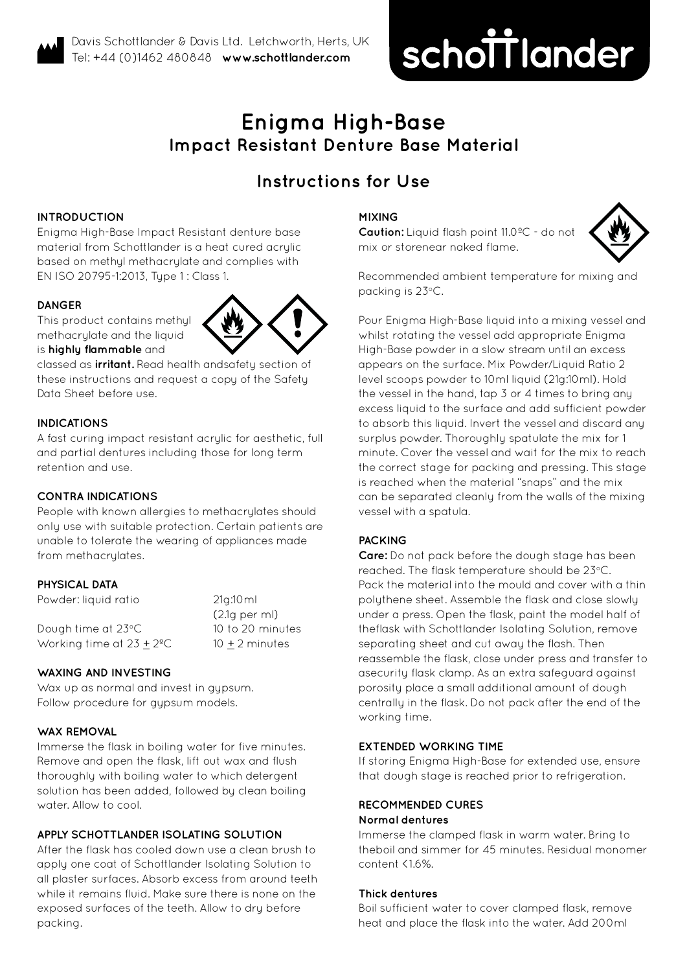# schottlander **improving dentistry together**

# **Enigma High-Base Impact Resistant Denture Base Material**

# **Instructions for Use**

# **INTRODUCTION**

Enigma High-Base Impact Resistant denture base material from Schottlander is a heat cured acrylic based on methyl methacrylate and complies with EN ISO 20795-1:2013, Type 1 : Class 1.

# **DANGER**

This product contains methyl methacrylate and the liquid is **highly flammable** and

classed as **irritant.** Read health andsafety section of these instructions and request a copy of the Safety Data Sheet before use.

# **INDICATIONS**

A fast curing impact resistant acrylic for aesthetic, full and partial dentures including those for long term retention and use.

# **CONTRA INDICATIONS**

People with known allergies to methacrylates should only use with suitable protection. Certain patients are unable to tolerate the wearing of appliances made from methacrylates.

# **PHYSICAL DATA**

Powder: liquid ratio 21g:10ml (2.1g per ml) Dough time at 23°C 10 to 20 minutes Working time at  $23 \pm 2^{\circ}$ C 10  $\pm$  2 minutes

#### **WAXING AND INVESTING**

Wax up as normal and invest in gypsum. Follow procedure for gypsum models.

#### **WAX REMOVAL**

Immerse the flask in boiling water for five minutes. Remove and open the flask, lift out wax and flush thoroughly with boiling water to which detergent solution has been added, followed by clean boiling water. Allow to cool.

# **APPLY SCHOTTLANDER ISOLATING SOLUTION**

After the flask has cooled down use a clean brush to apply one coat of Schottlander Isolating Solution to all plaster surfaces. Absorb excess from around teeth while it remains fluid. Make sure there is none on the exposed surfaces of the teeth. Allow to dry before packing.

#### **MIXING**

**Caution:** Liquid flash point 11.0ºC - do not mix or storenear naked flame.



Recommended ambient temperature for mixing and packing is 23°C.

Pour Enigma High-Base liquid into a mixing vessel and whilst rotating the vessel add appropriate Enigma High-Base powder in a slow stream until an excess appears on the surface. Mix Powder/Liquid Ratio 2 level scoops powder to 10ml liquid (21g:10ml). Hold the vessel in the hand, tap 3 or 4 times to bring any excess liquid to the surface and add sufficient powder to absorb this liquid. Invert the vessel and discard any surplus powder. Thoroughly spatulate the mix for 1 minute. Cover the vessel and wait for the mix to reach the correct stage for packing and pressing. This stage is reached when the material "snaps" and the mix can be separated cleanly from the walls of the mixing vessel with a spatula.

# **PACKING**

**Care:** Do not pack before the dough stage has been reached. The flask temperature should be 23°C. Pack the material into the mould and cover with a thin polythene sheet. Assemble the flask and close slowly under a press. Open the flask, paint the model half of theflask with Schottlander Isolating Solution, remove separating sheet and cut away the flash. Then reassemble the flask, close under press and transfer to asecurity flask clamp. As an extra safeguard against porosity place a small additional amount of dough centrally in the flask. Do not pack after the end of the working time.

#### **EXTENDED WORKING TIME**

If storing Enigma High-Base for extended use, ensure that dough stage is reached prior to refrigeration.

#### **RECOMMENDED CURES Normal dentures**

Immerse the clamped flask in warm water. Bring to theboil and simmer for 45 minutes. Residual monomer content <16%

#### **Thick dentures**

Boil sufficient water to cover clamped flask, remove heat and place the flask into the water. Add 200ml